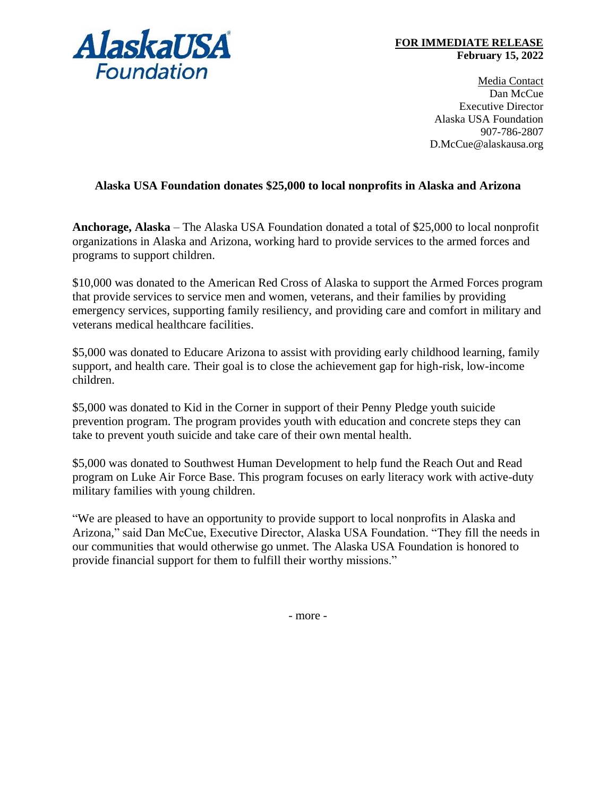

## **FOR IMMEDIATE RELEASE February 15, 2022**

Media Contact Dan McCue Executive Director Alaska USA Foundation 907-786-2807 D.McCue@alaskausa.org

## **Alaska USA Foundation donates \$25,000 to local nonprofits in Alaska and Arizona**

**Anchorage, Alaska** – The Alaska USA Foundation donated a total of \$25,000 to local nonprofit organizations in Alaska and Arizona, working hard to provide services to the armed forces and programs to support children.

\$10,000 was donated to the American Red Cross of Alaska to support the Armed Forces program that provide services to service men and women, veterans, and their families by providing emergency services, supporting family resiliency, and providing care and comfort in military and veterans medical healthcare facilities.

\$5,000 was donated to Educare Arizona to assist with providing early childhood learning, family support, and health care. Their goal is to close the achievement gap for high-risk, low-income children.

\$5,000 was donated to Kid in the Corner in support of their Penny Pledge youth suicide prevention program. The program provides youth with education and concrete steps they can take to prevent youth suicide and take care of their own mental health.

\$5,000 was donated to Southwest Human Development to help fund the Reach Out and Read program on Luke Air Force Base. This program focuses on early literacy work with active-duty military families with young children.

"We are pleased to have an opportunity to provide support to local nonprofits in Alaska and Arizona," said Dan McCue, Executive Director, Alaska USA Foundation. "They fill the needs in our communities that would otherwise go unmet. The Alaska USA Foundation is honored to provide financial support for them to fulfill their worthy missions."

- more -